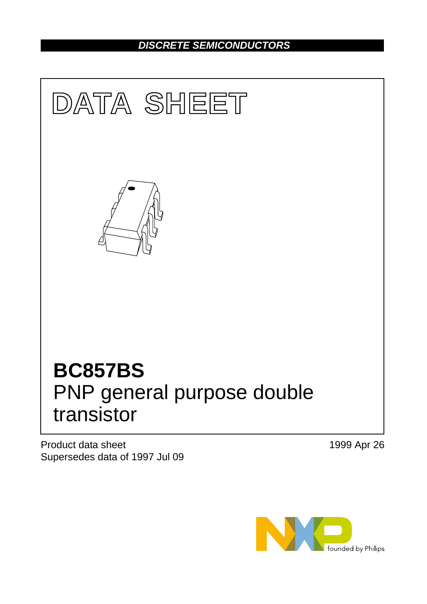# *DISCRETE SEMICONDUCTORS*



Product data sheet Supersedes data of 1997 Jul 09 1999 Apr 26

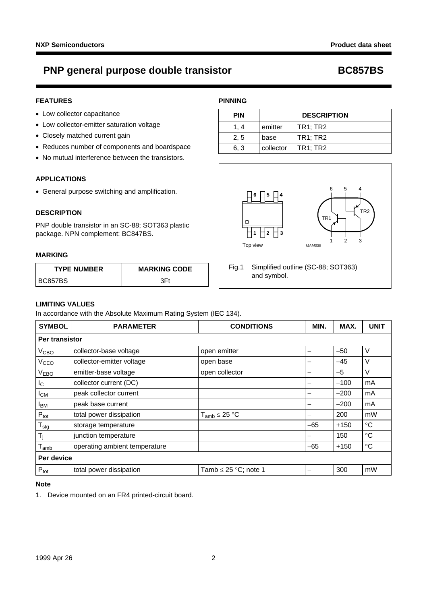# **PNP general purpose double transistor BC857BS**

## **FEATURES**

- Low collector capacitance
- Low collector-emitter saturation voltage
- Closely matched current gain
- Reduces number of components and boardspace
- No mutual interference between the transistors.

### **APPLICATIONS**

• General purpose switching and amplification.

## **DESCRIPTION**

PNP double transistor in an SC-88; SOT363 plastic package. NPN complement: BC847BS.

## **MARKING**

| <b>TYPE NUMBER</b> | <b>MARKING CODE</b> |  |  |
|--------------------|---------------------|--|--|
| IBC857BS           | 2 F I               |  |  |

# **PINNING**

| <b>PIN</b> | <b>DESCRIPTION</b> |                    |
|------------|--------------------|--------------------|
| 1.4        | emitter            | TR1; TR2           |
| 2, 5       | base               | TR1; TR2           |
| 6, 3       |                    | collector TR1; TR2 |





Fig.1 Simplified outline (SC-88; SOT363) and symbol.

### **LIMITING VALUES**

In accordance with the Absolute Maximum Rating System (IEC 134).

| <b>SYMBOL</b>              | <b>PARAMETER</b>              | <b>CONDITIONS</b>         | MIN.  | MAX.   | <b>UNIT</b>     |
|----------------------------|-------------------------------|---------------------------|-------|--------|-----------------|
|                            | Per transistor                |                           |       |        |                 |
| V <sub>CBO</sub>           | collector-base voltage        | open emitter              | —     | $-50$  | V               |
| <b>V<sub>CEO</sub></b>     | collector-emitter voltage     | open base                 | -     | $-45$  | V               |
| <b>VEBO</b>                | emitter-base voltage          | open collector            |       | $-5$   | $\vee$          |
| $I_{\rm C}$                | collector current (DC)        |                           |       | $-100$ | mA              |
| $I_{CM}$                   | peak collector current        |                           |       | $-200$ | mA              |
| <b>I</b> <sub>BM</sub>     | peak base current             |                           |       | $-200$ | mA              |
| $P_{\text{tot}}$           | total power dissipation       | $T_{amb} \leq 25 °C$      |       | 200    | mW              |
| ${\mathsf T}_{\text{stg}}$ | storage temperature           |                           | $-65$ | $+150$ | $^{\circ}C$     |
| T <sub>j</sub>             | junction temperature          |                           | -     | 150    | $\rm ^{\circ}C$ |
| $T_{\mathsf{amb}}$         | operating ambient temperature |                           | $-65$ | $+150$ | $\rm ^{\circ}C$ |
| Per device                 |                               |                           |       |        |                 |
| $P_{\text{tot}}$           | total power dissipation       | Tamb $\leq$ 25 °C; note 1 | -     | 300    | mW              |

#### **Note**

<span id="page-1-0"></span>1. Device mounted on an FR4 printed-circuit board.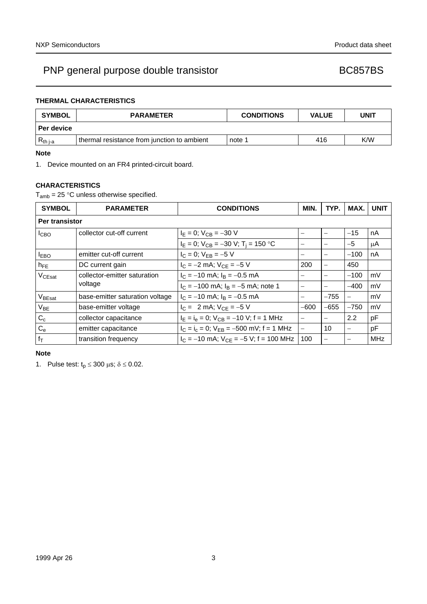# PNP general purpose double transistor example that the BC857BS

# **THERMAL CHARACTERISTICS**

| <b>SYMBOL</b> | <b>PARAMETER</b>                            | <b>CONDITIONS</b> | <b>VALUE</b> | UNIT |  |
|---------------|---------------------------------------------|-------------------|--------------|------|--|
| l Per device  |                                             |                   |              |      |  |
| $R_{th}$ j-a  | thermal resistance from junction to ambient | note 1            | 416          | K/W  |  |

# **Note**

<span id="page-2-0"></span>1. Device mounted on an FR4 printed-circuit board.

# **CHARACTERISTICS**

 $T_{amb}$  = 25 °C unless otherwise specified.

| <b>SYMBOL</b>      | <b>PARAMETER</b>                | <b>CONDITIONS</b>                               | MIN.                     | TYP.                     | MAX.              | <b>UNIT</b> |
|--------------------|---------------------------------|-------------------------------------------------|--------------------------|--------------------------|-------------------|-------------|
|                    | Per transistor                  |                                                 |                          |                          |                   |             |
| <b>I</b> CBO       | collector cut-off current       | $I_{\rm E} = 0$ ; V <sub>CB</sub> = -30 V       |                          | $\overline{\phantom{m}}$ | $-15$             | nA          |
|                    |                                 | $I_E = 0$ ; $V_{CB} = -30$ V; $T_i = 150$ °C    |                          |                          | $-5$              | μA          |
| <b>LEBO</b>        | emitter cut-off current         | $I_C = 0$ ; $V_{FB} = -5$ V                     |                          | $\overline{\phantom{m}}$ | $-100$            | nA          |
| $h_{FE}$           | DC current gain                 | $I_C = -2$ mA; $V_{CE} = -5$ V                  | 200                      |                          | 450               |             |
| V <sub>CEsat</sub> | collector-emitter saturation    | $I_C = -10$ mA; $I_B = -0.5$ mA                 |                          | $\overline{\phantom{m}}$ | $-100$            | mV          |
|                    | voltage                         | $I_C = -100$ mA; $I_B = -5$ mA; note 1          |                          |                          | $-400$            | mV          |
| V <sub>BEsat</sub> | base-emitter saturation voltage | $I_C = -10$ mA; $I_B = -0.5$ mA                 |                          | $-755$                   | $\qquad \qquad -$ | mV          |
| $V_{BE}$           | base-emitter voltage            | $I_C = 2$ mA; $V_{CE} = -5$ V                   | $-600$                   | $-655$                   | $-750$            | mV          |
| $C_c$              | collector capacitance           | $I_E = I_e = 0$ ; $V_{CB} = -10$ V; f = 1 MHz   | $\overline{\phantom{m}}$ | $\overline{\phantom{m}}$ | 2.2               | рF          |
| $C_{e}$            | emitter capacitance             | $I_C = I_C = 0$ ; $V_{FB} = -500$ mV; f = 1 MHz | $\overline{\phantom{0}}$ | 10                       |                   | рF          |
| $f_T$              | transition frequency            | $I_C = -10$ mA; $V_{CF} = -5$ V; f = 100 MHz    | 100                      |                          |                   | <b>MHz</b>  |

#### **Note**

<span id="page-2-1"></span>1. Pulse test:  $t_p \le 300 \text{ }\mu\text{s}; \delta \le 0.02$ .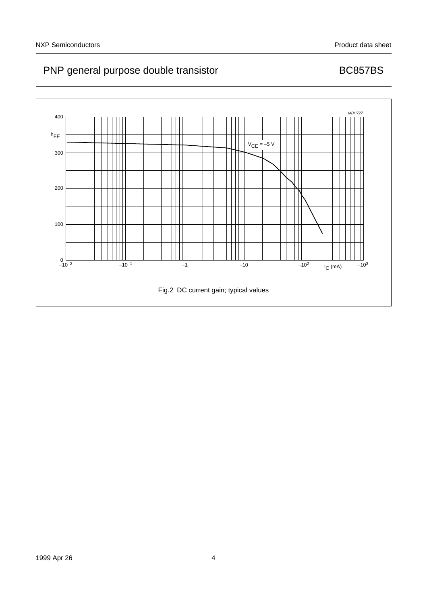# PNP general purpose double transistor example that the BC857BS

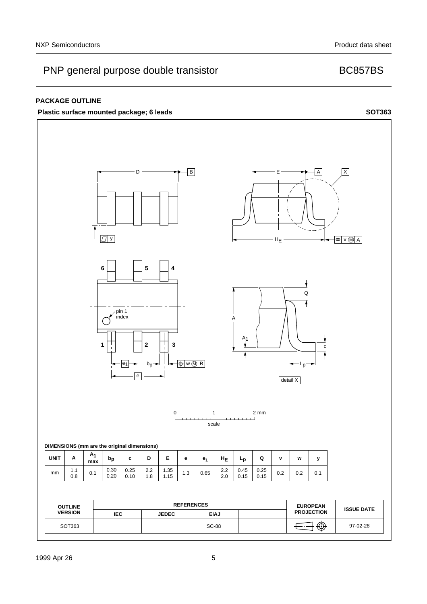# PNP general purpose double transistor example that the BC857BS

# **PACKAGE OUTLINE**

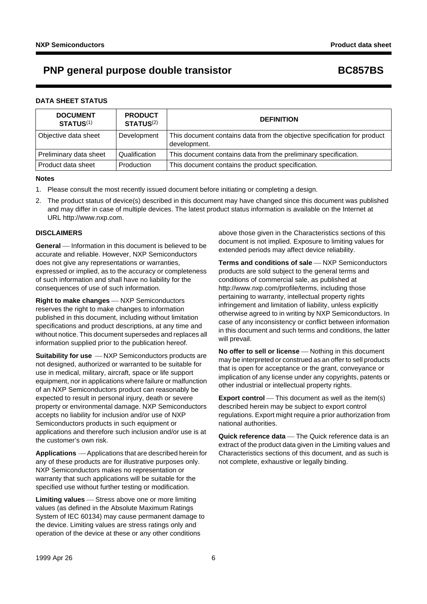# **PNP general purpose double transistor BC857BS**

## **DATA SHEET STATUS**

| <b>DOCUMENT</b><br><b>STATUS(1)</b> | <b>PRODUCT</b><br><b>STATUS(2)</b> | <b>DEFINITION</b>                                                                        |
|-------------------------------------|------------------------------------|------------------------------------------------------------------------------------------|
| Objective data sheet                | Development                        | This document contains data from the objective specification for product<br>development. |
| Preliminary data sheet              | Qualification                      | This document contains data from the preliminary specification.                          |
| Product data sheet                  | Production                         | This document contains the product specification.                                        |

### **Notes**

- <span id="page-5-0"></span>1. Please consult the most recently issued document before initiating or completing a design.
- <span id="page-5-1"></span>2. The product status of device(s) described in this document may have changed since this document was published and may differ in case of multiple devices. The latest product status information is available on the Internet at URL http://www.nxp.com.

# **DISCLAIMERS**

**General** – Information in this document is believed to be accurate and reliable. However, NXP Semiconductors does not give any representations or warranties, expressed or implied, as to the accuracy or completeness of such information and shall have no liability for the consequences of use of such information.

**Right to make changes** - NXP Semiconductors reserves the right to make changes to information published in this document, including without limitation specifications and product descriptions, at any time and without notice. This document supersedes and replaces all information supplied prior to the publication hereof.

**Suitability for use**  $-MXP$  Semiconductors products are not designed, authorized or warranted to be suitable for use in medical, military, aircraft, space or life support equipment, nor in applications where failure or malfunction of an NXP Semiconductors product can reasonably be expected to result in personal injury, death or severe property or environmental damage. NXP Semiconductors accepts no liability for inclusion and/or use of NXP Semiconductors products in such equipment or applications and therefore such inclusion and/or use is at the customer's own risk.

**Applications** ⎯ Applications that are described herein for any of these products are for illustrative purposes only. NXP Semiconductors makes no representation or warranty that such applications will be suitable for the specified use without further testing or modification.

**Limiting values** – Stress above one or more limiting values (as defined in the Absolute Maximum Ratings System of IEC 60134) may cause permanent damage to the device. Limiting values are stress ratings only and operation of the device at these or any other conditions

above those given in the Characteristics sections of this document is not implied. Exposure to limiting values for extended periods may affect device reliability.

**Terms and conditions of sale** - NXP Semiconductors products are sold subject to the general terms and conditions of commercial sale, as published at http://www.nxp.com/profile/terms, including those pertaining to warranty, intellectual property rights infringement and limitation of liability, unless explicitly [otherwise agreed to in writing by NXP Semiconductors. In](http://www.nxp.com/profile/terms)  case of any inconsistency or conflict between information in this document and such terms and conditions, the latter will prevail.

**No offer to sell or license** – Nothing in this document may be interpreted or construed as an offer to sell products that is open for acceptance or the grant, conveyance or implication of any license under any copyrights, patents or other industrial or intellectual property rights.

**Export control** — This document as well as the item(s) described herein may be subject to export control regulations. Export might require a prior authorization from national authorities.

**Quick reference data** – The Quick reference data is an extract of the product data given in the Limiting values and Characteristics sections of this document, and as such is not complete, exhaustive or legally binding.